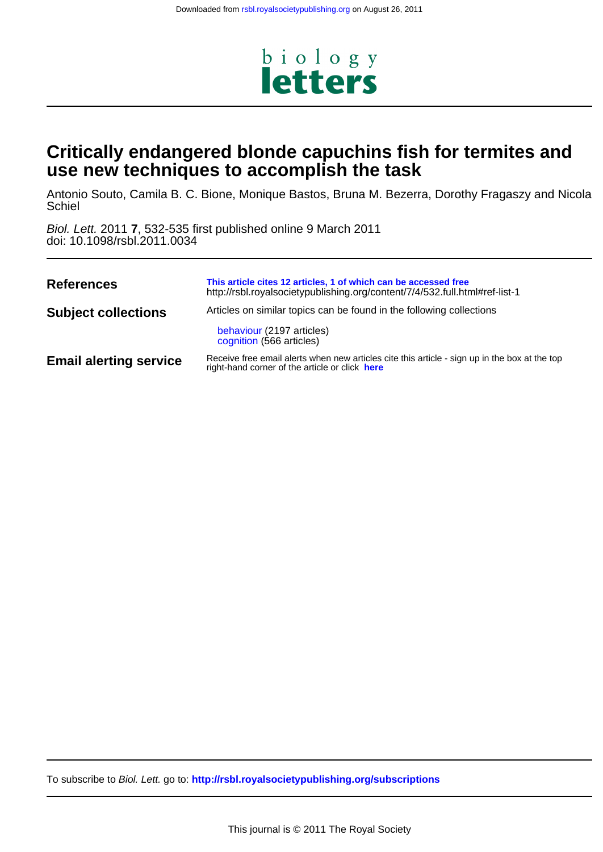

# **use new techniques to accomplish the task Critically endangered blonde capuchins fish for termites and**

**Schiel** Antonio Souto, Camila B. C. Bione, Monique Bastos, Bruna M. Bezerra, Dorothy Fragaszy and Nicola

doi: 10.1098/rsbl.2011.0034 Biol. Lett. 2011 **7**, 532-535 first published online 9 March 2011

| <b>References</b>             | This article cites 12 articles, 1 of which can be accessed free<br>http://rsbl.royalsocietypublishing.org/content/7/4/532.full.html#ref-list-1  |
|-------------------------------|-------------------------------------------------------------------------------------------------------------------------------------------------|
| <b>Subject collections</b>    | Articles on similar topics can be found in the following collections                                                                            |
|                               | behaviour (2197 articles)<br>cognition (566 articles)                                                                                           |
| <b>Email alerting service</b> | Receive free email alerts when new articles cite this article - sign up in the box at the top<br>right-hand corner of the article or click here |

To subscribe to Biol. Lett. go to: **<http://rsbl.royalsocietypublishing.org/subscriptions>**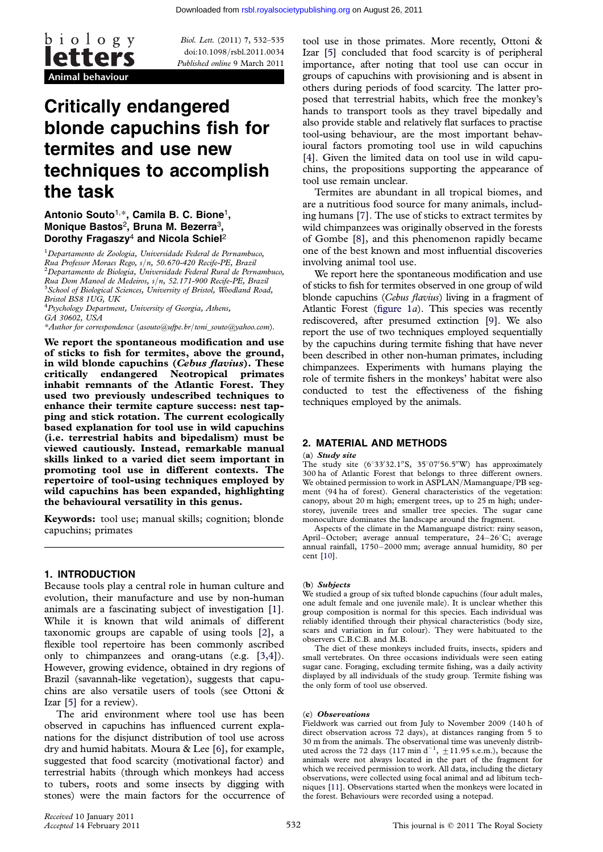

Biol. Lett. (2011) 7, 532–535 doi:10.1098/rsbl.2011.0034 Published online 9 March 2011

# Critically endangered blonde capuchins fish for termites and use new techniques to accomplish the task

## Antonio Souto<sup>1,\*</sup>, Camila B. C. Bione<sup>1</sup>, Monique Bastos<sup>2</sup>, Bruna M. Bezerra<sup>3</sup>, Dorothy Fragaszy<sup>4</sup> and Nicola Schiel<sup>2</sup>

<sup>1</sup>Departamento de Zoologia, Universidade Federal de Pernambuco, Rua Professor Moraes Rego, s/n, 50.670-420 Recife-PE, Brazil <sup>2</sup> Departamento de Biologia, Universidade Federal Rural de Pernambuco, Rua Dom Manoel de Medeiros, s/n, 52.171-900 Recife-PE, Brazil <sup>3</sup> <sup>3</sup> School of Biological Sciences, University of Bristol, Woodland Road, Bristol BS8 1UG, UK

<sup>4</sup> Psychology Department, University of Georgia, Athens, GA 30602, USA

\*Author for correspondence ([asouto@ufpe.br](mailto:asouto@ufpe.br)/[toni\\_souto@yahoo.com](mailto:toni_souto@yahoo.com)).

We report the spontaneous modification and use of sticks to fish for termites, above the ground, in wild blonde capuchins (Cebus flavius). These critically endangered Neotropical primates inhabit remnants of the Atlantic Forest. They used two previously undescribed techniques to enhance their termite capture success: nest tapping and stick rotation. The current ecologically based explanation for tool use in wild capuchins (i.e. terrestrial habits and bipedalism) must be viewed cautiously. Instead, remarkable manual skills linked to a varied diet seem important in promoting tool use in different contexts. The repertoire of tool-using techniques employed by wild capuchins has been expanded, highlighting the behavioural versatility in this genus.

Keywords: tool use; manual skills; cognition; blonde capuchins; primates

### 1. INTRODUCTION

Because tools play a central role in human culture and evolution, their manufacture and use by non-human animals are a fascinating subject of investigation [[1](#page-3-0)]. While it is known that wild animals of different taxonomic groups are capable of using tools [\[2\]](#page-3-0), a flexible tool repertoire has been commonly ascribed only to chimpanzees and orang-utans (e.g. [[3,4](#page-3-0)]). However, growing evidence, obtained in dry regions of Brazil (savannah-like vegetation), suggests that capuchins are also versatile users of tools (see Ottoni & Izar [\[5](#page-3-0)] for a review).

The arid environment where tool use has been observed in capuchins has influenced current explanations for the disjunct distribution of tool use across dry and humid habitats. Moura & Lee [\[6\]](#page-3-0), for example, suggested that food scarcity (motivational factor) and terrestrial habits (through which monkeys had access to tubers, roots and some insects by digging with stones) were the main factors for the occurrence of tool use in those primates. More recently, Ottoni & Izar [\[5\]](#page-3-0) concluded that food scarcity is of peripheral importance, after noting that tool use can occur in groups of capuchins with provisioning and is absent in others during periods of food scarcity. The latter proposed that terrestrial habits, which free the monkey's hands to transport tools as they travel bipedally and also provide stable and relatively flat surfaces to practise tool-using behaviour, are the most important behavioural factors promoting tool use in wild capuchins [\[4\]](#page-3-0). Given the limited data on tool use in wild capuchins, the propositions supporting the appearance of tool use remain unclear.

Termites are abundant in all tropical biomes, and are a nutritious food source for many animals, including humans [\[7\]](#page-3-0). The use of sticks to extract termites by wild chimpanzees was originally observed in the forests of Gombe [[8](#page-3-0)], and this phenomenon rapidly became one of the best known and most influential discoveries involving animal tool use.

We report here the spontaneous modification and use of sticks to fish for termites observed in one group of wild blonde capuchins (*Cebus flavius*) living in a fragment of Atlantic Forest [\(figure 1](#page-2-0)*a*). This species was recently rediscovered, after presumed extinction [[9\]](#page-3-0). We also report the use of two techniques employed sequentially by the capuchins during termite fishing that have never been described in other non-human primates, including chimpanzees. Experiments with humans playing the role of termite fishers in the monkeys' habitat were also conducted to test the effectiveness of the fishing techniques employed by the animals.

## 2. MATERIAL AND METHODS

#### (a) Study site

The study site  $(6°33'32.1''\text{S}, 35°07'56.5''\text{W})$  has approximately 300 ha of Atlantic Forest that belongs to three different owners. We obtained permission to work in ASPLAN/Mamanguape/PB segment (94 ha of forest). General characteristics of the vegetation: canopy, about 20 m high; emergent trees, up to 25 m high; understorey, juvenile trees and smaller tree species. The sugar cane monoculture dominates the landscape around the fragment.

Aspects of the climate in the Mamanguape district: rainy season, April-October; average annual temperature, 24-26°C; average annual rainfall, 1750–2000 mm; average annual humidity, 80 per cent [\[10](#page-3-0)].

#### (b) Subjects

We studied a group of six tufted blonde capuchins (four adult males, one adult female and one juvenile male). It is unclear whether this group composition is normal for this species. Each individual was reliably identified through their physical characteristics (body size, scars and variation in fur colour). They were habituated to the observers C.B.C.B. and M.B.

The diet of these monkeys included fruits, insects, spiders and small vertebrates. On three occasions individuals were seen eating sugar cane. Foraging, excluding termite fishing, was a daily activity displayed by all individuals of the study group. Termite fishing was the only form of tool use observed.

#### (c) Observations

Fieldwork was carried out from July to November 2009 (140 h of direct observation across 72 days), at distances ranging from 5 to 30 m from the animals. The observational time was unevenly distributed across the 72 days (117 min  $d^{-1}$ ,  $\pm$ 11.95 s.e.m.), because the animals were not always located in the part of the fragment for which we received permission to work. All data, including the dietary observations, were collected using focal animal and ad libitum techniques [[11\]](#page-3-0). Observations started when the monkeys were located in the forest. Behaviours were recorded using a notepad.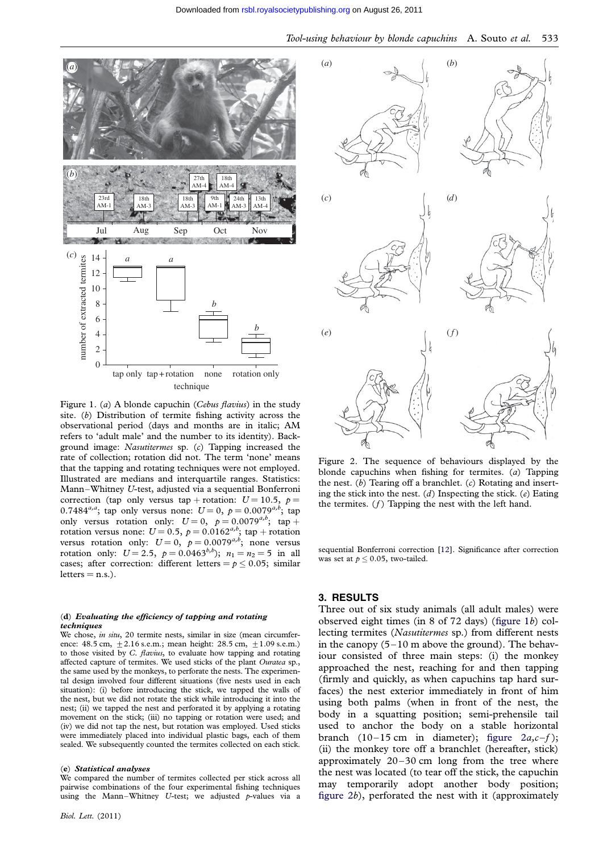<span id="page-2-0"></span>

Figure 1. (a) A blonde capuchin (Cebus flavius) in the study site. (b) Distribution of termite fishing activity across the observational period (days and months are in italic; AM refers to 'adult male' and the number to its identity). Background image: Nasutitermes sp. (c) Tapping increased the rate of collection; rotation did not. The term 'none' means that the tapping and rotating techniques were not employed. Illustrated are medians and interquartile ranges. Statistics: Mann –Whitney U-test, adjusted via a sequential Bonferroni correction (tap only versus tap + rotation:  $U = 10.5$ ,  $p =$ 0.7484<sup>*a*,*a*</sup>; tap only versus none:  $U = 0$ ,  $p = 0.0079^{a,b}$ ; tap only versus rotation only:  $U = 0$ ,  $p = 0.0079^{a,b}$ ; tap + rotation versus none:  $U = 0.5$ ,  $p = 0.0162^{a,b}$ ; tap + rotation versus rotation only:  $U = 0$ ,  $p = 0.0079^{a,b}$ ; none versus rotation only:  $U = 2.5$ ,  $p = 0.0463^{b,b}$ ;  $n_1 = n_2 = 5$  in all cases; after correction: different letters =  $p \le 0.05$ ; similar  $letters = n.s.).$ 

#### (d) Evaluating the efficiency of tapping and rotating techniques

We chose, in situ, 20 termite nests, similar in size (mean circumference: 48.5 cm,  $\pm 2.16$  s.e.m.; mean height: 28.5 cm,  $\pm 1.09$  s.e.m.) to those visited by C. flavius, to evaluate how tapping and rotating affected capture of termites. We used sticks of the plant Ouratea sp., the same used by the monkeys, to perforate the nests. The experimental design involved four different situations (five nests used in each situation): (i) before introducing the stick, we tapped the walls of the nest, but we did not rotate the stick while introducing it into the nest; (ii) we tapped the nest and perforated it by applying a rotating movement on the stick; (iii) no tapping or rotation were used; and (iv) we did not tap the nest, but rotation was employed. Used sticks were immediately placed into individual plastic bags, each of them sealed. We subsequently counted the termites collected on each stick.

#### (e) Statistical analyses

We compared the number of termites collected per stick across all pairwise combinations of the four experimental fishing techniques using the Mann–Whitney U-test; we adjusted  $p$ -values via a





Figure 2. The sequence of behaviours displayed by the blonde capuchins when fishing for termites.  $(a)$  Tapping the nest.  $(b)$  Tearing off a branchlet.  $(c)$  Rotating and inserting the stick into the nest.  $(d)$  Inspecting the stick.  $(e)$  Eating the termites.  $(f)$  Tapping the nest with the left hand.

sequential Bonferroni correction [\[12\]](#page-3-0). Significance after correction was set at  $p \le 0.05$ , two-tailed.

### 3. RESULTS

Three out of six study animals (all adult males) were observed eight times (in 8 of 72 days) (figure 1b) collecting termites (Nasutitermes sp.) from different nests in the canopy  $(5-10 \text{ m}$  above the ground). The behaviour consisted of three main steps: (i) the monkey approached the nest, reaching for and then tapping (firmly and quickly, as when capuchins tap hard surfaces) the nest exterior immediately in front of him using both palms (when in front of the nest, the body in a squatting position; semi-prehensile tail used to anchor the body on a stable horizontal branch  $(10-15 \text{ cm} \text{ in diameter})$ ; figure  $2a,c-f$ ; (ii) the monkey tore off a branchlet (hereafter, stick) approximately  $20 - 30$  cm long from the tree where the nest was located (to tear off the stick, the capuchin may temporarily adopt another body position; figure 2b), perforated the nest with it (approximately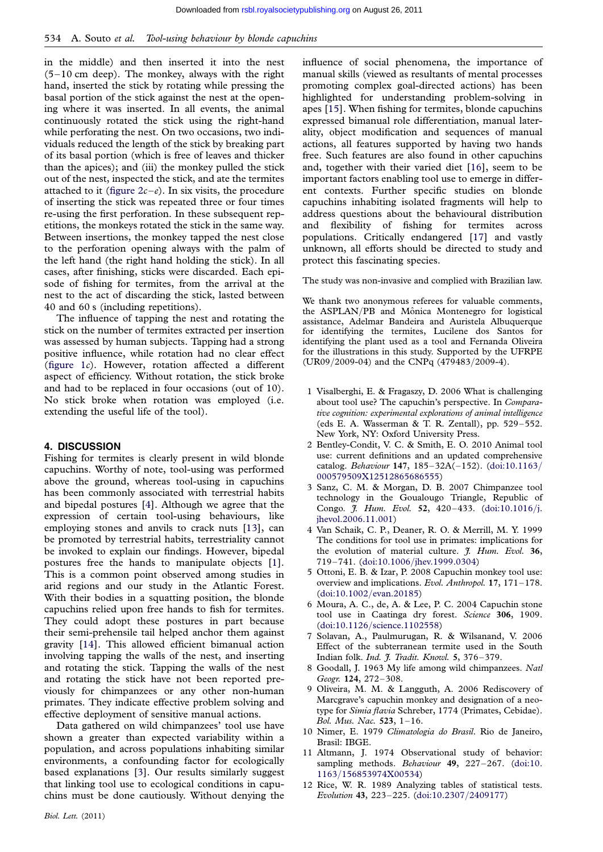<span id="page-3-0"></span>in the middle) and then inserted it into the nest  $(5-10 \text{ cm}$  deep). The monkey, always with the right hand, inserted the stick by rotating while pressing the basal portion of the stick against the nest at the opening where it was inserted. In all events, the animal continuously rotated the stick using the right-hand while perforating the nest. On two occasions, two individuals reduced the length of the stick by breaking part of its basal portion (which is free of leaves and thicker than the apices); and (iii) the monkey pulled the stick out of the nest, inspected the stick, and ate the termites attached to it (figure  $2c-e$ ). In six visits, the procedure of inserting the stick was repeated three or four times re-using the first perforation. In these subsequent repetitions, the monkeys rotated the stick in the same way. Between insertions, the monkey tapped the nest close to the perforation opening always with the palm of the left hand (the right hand holding the stick). In all cases, after finishing, sticks were discarded. Each episode of fishing for termites, from the arrival at the nest to the act of discarding the stick, lasted between 40 and 60 s (including repetitions).

The influence of tapping the nest and rotating the stick on the number of termites extracted per insertion was assessed by human subjects. Tapping had a strong positive influence, while rotation had no clear effect ([figure 1](#page-2-0)c). However, rotation affected a different aspect of efficiency. Without rotation, the stick broke and had to be replaced in four occasions (out of 10). No stick broke when rotation was employed (i.e. extending the useful life of the tool).

#### 4. DISCUSSION

Fishing for termites is clearly present in wild blonde capuchins. Worthy of note, tool-using was performed above the ground, whereas tool-using in capuchins has been commonly associated with terrestrial habits and bipedal postures [4]. Although we agree that the expression of certain tool-using behaviours, like employing stones and anvils to crack nuts [\[13](#page-4-0)], can be promoted by terrestrial habits, terrestriality cannot be invoked to explain our findings. However, bipedal postures free the hands to manipulate objects [1]. This is a common point observed among studies in arid regions and our study in the Atlantic Forest. With their bodies in a squatting position, the blonde capuchins relied upon free hands to fish for termites. They could adopt these postures in part because their semi-prehensile tail helped anchor them against gravity [[14\]](#page-4-0). This allowed efficient bimanual action involving tapping the walls of the nest, and inserting and rotating the stick. Tapping the walls of the nest and rotating the stick have not been reported previously for chimpanzees or any other non-human primates. They indicate effective problem solving and effective deployment of sensitive manual actions.

Data gathered on wild chimpanzees' tool use have shown a greater than expected variability within a population, and across populations inhabiting similar environments, a confounding factor for ecologically based explanations [3]. Our results similarly suggest that linking tool use to ecological conditions in capuchins must be done cautiously. Without denying the influence of social phenomena, the importance of manual skills (viewed as resultants of mental processes promoting complex goal-directed actions) has been highlighted for understanding problem-solving in apes [\[15](#page-4-0)]. When fishing for termites, blonde capuchins expressed bimanual role differentiation, manual laterality, object modification and sequences of manual actions, all features supported by having two hands free. Such features are also found in other capuchins and, together with their varied diet [[16\]](#page-4-0), seem to be important factors enabling tool use to emerge in different contexts. Further specific studies on blonde capuchins inhabiting isolated fragments will help to address questions about the behavioural distribution and flexibility of fishing for termites across populations. Critically endangered [[17](#page-4-0)] and vastly unknown, all efforts should be directed to study and protect this fascinating species.

The study was non-invasive and complied with Brazilian law.

We thank two anonymous referees for valuable comments, the ASPLAN/PB and Mônica Montenegro for logistical assistance, Adelmar Bandeira and Auristela Albuquerque for identifying the termites, Lucilene dos Santos for identifying the plant used as a tool and Fernanda Oliveira for the illustrations in this study. Supported by the UFRPE (UR09/2009-04) and the CNPq (479483/2009-4).

- 1 Visalberghi, E. & Fragaszy, D. 2006 What is challenging about tool use? The capuchin's perspective. In Comparative cognition: experimental explorations of animal intelligence (eds E. A. Wasserman & T. R. Zentall), pp.  $529-552$ . New York, NY: Oxford University Press.
- 2 Bentley-Condit, V. C. & Smith, E. O. 2010 Animal tool use: current definitions and an updated comprehensive catalog. Behaviour 147, 185–32A(–152). ([doi:10.1163](http://dx.doi.org/10.1163/000579509X12512865686555)/ [000579509X12512865686555\)](http://dx.doi.org/10.1163/000579509X12512865686555)
- 3 Sanz, C. M. & Morgan, D. B. 2007 Chimpanzee tool technology in the Goualougo Triangle, Republic of Congo. *J. Hum. Evol.* 52, 420-433. ([doi:10.1016](http://dx.doi.org/10.1016/j.jhevol.2006.11.001)/j. [jhevol.2006.11.001](http://dx.doi.org/10.1016/j.jhevol.2006.11.001))
- 4 Van Schaik, C. P., Deaner, R. O. & Merrill, M. Y. 1999 The conditions for tool use in primates: implications for the evolution of material culture.  $\tilde{t}$ . Hum. Evol. 36, 719–741. (doi:10.1006/[jhev.1999.0304](http://dx.doi.org/10.1006/jhev.1999.0304))
- 5 Ottoni, E. B. & Izar, P. 2008 Capuchin monkey tool use: overview and implications. Evol. Anthropol. 17, 171 –178. [\(doi:10.1002](http://dx.doi.org/10.1002/evan.20185)/evan.20185)
- 6 Moura, A. C., de, A. & Lee, P. C. 2004 Capuchin stone tool use in Caatinga dry forest. Science 306, 1909. (doi:10.1126/[science.1102558\)](http://dx.doi.org/10.1126/science.1102558)
- 7 Solavan, A., Paulmurugan, R. & Wilsanand, V. 2006 Effect of the subterranean termite used in the South Indian folk. Ind. J. Tradit. Knowl. 5, 376 –379.
- 8 Goodall, J. 1963 My life among wild chimpanzees. Natl Geogr. 124, 272–308.
- 9 Oliveira, M. M. & Langguth, A. 2006 Rediscovery of Marcgrave's capuchin monkey and designation of a neotype for Simia flavia Schreber, 1774 (Primates, Cebidae). Bol. Mus. Nac. 523, 1 –16.
- 10 Nimer, E. 1979 Climatologia do Brasil. Rio de Janeiro, Brasil: IBGE.
- 11 Altmann, J. 1974 Observational study of behavior: sampling methods. Behaviour 49, 227-267. [\(doi:10.](http://dx.doi.org/10.1163/156853974X00534) 1163/[156853974X00534](http://dx.doi.org/10.1163/156853974X00534))
- 12 Rice, W. R. 1989 Analyzing tables of statistical tests. Evolution 43, 223–225. ([doi:10.2307](http://dx.doi.org/10.2307/2409177)/2409177)